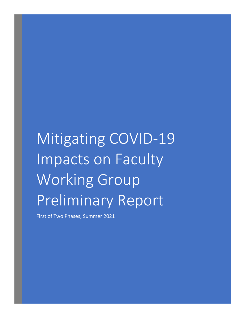# Mitigating COVID-19 Impacts on Faculty Working Group Preliminary Report

First of Two Phases, Summer 2021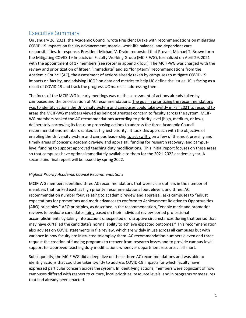# Executive Summary

On January 26, 2021, the Academic Council wrote President Drake with recommendations on mitigating COVID-19 impacts on faculty advancement, morale, work-life balance, and dependent care responsibilities. In response, President Michael V. Drake requested that Provost Michael T. Brown form the Mitigating COVID-19 Impacts on Faculty Working Group (MCIF-WG), formalized on April 29, 2021 with the appointment of 17 members (see roster in appendix four). The MCIF-WG was charged with the review and prioritization of fifteen "immediate" and six "long-term" recommendations from the Academic Council (AC), the assessment of actions already taken by campuses to mitigate COVID-19 impacts on faculty, and advising UCOP on data and metrics to help UC define the issues UC is facing as a result of COVID-19 and track the progress UC makes in addressing them.

The focus of the MCIF-WG in early meetings was on the assessment of actions already taken by campuses and the prioritization of AC recommendations. The goal in prioritizing the recommendations was to identify actions the University system and campuses could take swiftly in Fall 2021 to respond to areas the MCIF-WG members viewed as being of greatest concern to faculty across the system. MCIF-WG members ranked the AC recommendations according to priority level (high, medium, or low), deliberately narrowing its focus on proposing actions to address the three Academic Council recommendations members ranked as highest priority. It took this approach with the objective of enabling the University system and campus leadership to act swiftly on a few of the most pressing and timely areas of concern: academic review and appraisal, funding for research recovery, and campuslevel funding to support approved teaching duty modifications. This initial report focuses on these areas so that campuses have options immediately available to them for the 2021-2022 academic year. A second and final report will be issued by spring 2022.

#### *Highest Priority Academic Council Recommendations*

MCIF-WG members identified three AC recommendations that were clear outliers in the number of members that ranked each as high priority: recommendations four, eleven, and three. AC recommendation number four, relating to academic review and appraisal, asks campuses to "adjust expectations for promotions and merit advances to conform to Achievement Relative to Opportunities (ARO) principles." ARO principles, as described in the recommendation, "enable merit and promotion reviews to evaluate candidates fairly based on their individual review-period professional accomplishments by taking into account unexpected or disruptive circumstances during that period that may have curtailed the candidate's normal ability to achieve expected outcomes." This recommendation also advises on COVID statements in file review, which are widely in use across all campuses but with variance in how faculty are instructed to employ them. AC recommendation numbers eleven and three request the creation of funding programs to recover from research losses and to provide campus-level support for approved teaching duty modifications whenever department resources fall short.

Subsequently, the MCIF-WG did a deep dive on these three AC recommendations and was able to identify actions that could be taken swiftly to address COVID-19 impacts for which faculty have expressed particular concern across the system. In identifying actions, members were cognizant of how campuses differed with respect to culture, local priorities, resource levels, and in programs or measures that had already been enacted.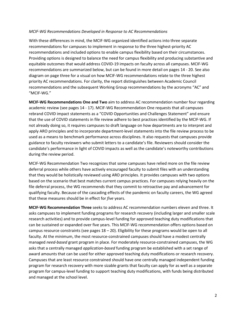#### *MCIF-WG Recommendations Developed in Response to AC Recommendations*

With these differences in mind, the MCIF-WG organized identified actions into three separate recommendations for campuses to implement in response to the three highest-priority AC recommendations and included options to enable campus flexibility based on their circumstances. Providing options is designed to balance the need for campus flexibility and producing substantive and equitable outcomes that would address COVID-19 impacts on faculty across all campuses. MCIF-WG recommendations are summarized below, but can be found in more detail on pages 14 - 20. See also diagram on page three for a visual on how MCIF-WG recommendations relate to the three highest priority AC recommendations. For clarity, the report distinguishes between Academic Council recommendations and the subsequent Working Group recommendations by the acronyms "AC" and "MCIF-WG."

**MCIF-WG Recommendations One and Two** aim to address AC recommendation number four regarding academic review (see pages 14 - 17). MCIF-WG Recommendation One requests that all campuses rebrand COVID impact statements as a "COVID Opportunities and Challenges Statement" and ensure that the use of COVID statements in file review adhere to best practices identified by the MCIF-WG. If not already doing so, it requires campuses to draft language on how departments are to interpret and apply ARO principles and to incorporate department-level statements into the file review process to be used as a means to benchmark performance across disciplines. It also requests that campuses provide guidance to faculty reviewers who submit letters to a candidate's file. Reviewers should consider the candidate's performance in light of COVID impacts as well as the candidate's noteworthy contributions during the review period.

MCIF-WG Recommendation Two recognizes that some campuses have relied more on the file review deferral process while others have actively encouraged faculty to submit files with an understanding that they would be holistically reviewed using ARO principles. It provides campuses with two options based on the scenario that best matches current campus practices. For campuses relying heavily on the file deferral process, the WG recommends that they commit to retroactive pay and advancement for qualifying faculty. Because of the cascading effects of the pandemic on faculty careers, the WG agreed that these measures should be in effect for *five* years.

**MCIF-WG Recommendation Three** seeks to address AC recommendation numbers eleven and three. It asks campuses to implement funding programs for research recovery (including larger and smaller scale research activities) and to provide campus-level funding for approved teaching duty modifications that can be sustained or expanded over five years. This MCIF-WG recommendation offers options based on campus resource constraints (see pages 18 – 20). Eligibility for these programs would be open to all faculty. At the minimum, the most resource-constrained campuses should have a modest centrally managed *need-based* grant program in place. For moderately resource-constrained campuses, the WG asks that a centrally managed *application-based* funding program be established with a set range of award amounts that can be used for either approved teaching duty modifications or research recovery. Campuses that are least resource constrained should have one centrally managed independent funding program for research recovery with more sizable grants that faculty can apply for as well as a separate program for campus-level funding to support teaching duty modifications, with funds being distributed and managed at the school level.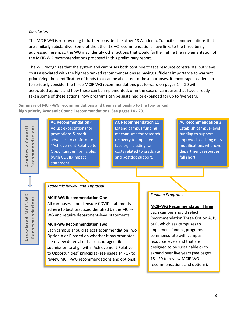#### *Conclusion*

The MCIF-WG is reconvening to further consider the other 18 Academic Council recommendations that are similarly substantive. Some of the other 18 AC recommendations have links to the three being addressed herein, so the WG may identify other actions that would further refine the implementation of the MCIF-WG recommendations proposed in this preliminary report.

The WG recognizes that the system and campuses both continue to face resource constraints, but views costs associated with the highest-ranked recommendations as having sufficient importance to warrant prioritizing the identification of funds that can be allocated to these purposes. It encourages leadership to seriously consider the three MCIF-WG recommendations put forward on pages 14 - 20 with associated options and how these can be implemented, or in the case of campuses that have already taken some of these actions, how programs can be sustained or expanded for up to five years.

**Summary of MCIF-WG recommendations and their relationship to the top-ranked high priority Academic Council recommendations. See pages 14 - 20.**

**Academic Council**  ecommendations **Recommendations** Academic Council  $\overline{\alpha}$ 

**AC Recommendation 4** Adjust expectations for promotions & merit advances to conform to "Achievement Relative to Opportunities" principles (with COVID impact statement).

**AC Recommendation 11** Extend campus funding mechanisms for research recovery to impacted faculty, including for costs related to graduate and postdoc support.

**AC Recommendation 3**

Establish campus-level funding to support approved teaching duty modifications whenever department resources fall short.

ations **Recommendations** Recommend

**Associated MCIF -WG** 

Associated

O

MCIF-W

*Academic Review and Appraisal* 

#### **MCIF-WG Recommendation One**

All campuses should ensure COVID statements adhere to best practices identified by the MCIF-WG and require department-level statements.

#### **MCIF-WG Recommendation Two**

Each campus should select Recommendation Two Option A or B based on whether it has promoted file review deferral or has encouraged file submission to align with "Achievement Relative to Opportunities" principles (see pages 14 - 17 to review MCIF-WG recommendations and options).

#### *Funding Programs*

#### **MCIF-WG Recommendation Three**

Each campus should select Recommendation Three Option A, B, or C, which ask campuses to implement funding programs commensurate with campus resource levels and that are designed to be sustainable or to expand over five years (see pages 18 - 20 to review MCIF-WG recommendations and options).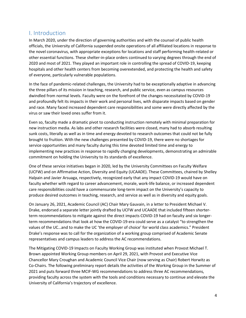# I. Introduction

In March 2020, under the direction of governing authorities and with the counsel of public health officials, the University of California suspended onsite operations of all affiliated locations in response to the novel coronavirus, with appropriate exceptions for locations and staff performing health-related or other essential functions. These shelter-in-place orders continued to varying degrees through the end of 2020 and most of 2021. They played an important role in controlling the spread of COVID-19, keeping hospitals and other health centers from becoming overextended, and protecting the health and safety of everyone, particularly vulnerable populations.

In the face of pandemic-related challenges, the University had to be exceptionally adaptive in advancing the three pillars of its mission in teaching, research, and public service, even as campus resources dwindled from normal levels. Faculty were on the forefront of the changes necessitated by COVID-19 and profoundly felt its impacts in their work and personal lives, with disparate impacts based on gender and race. Many faced increased dependent care responsibilities and some were directly affected by the virus or saw their loved ones suffer from it.

Even so, faculty made a dramatic pivot to conducting instruction remotely with minimal preparation for new instruction media. As labs and other research facilities were closed, many had to absorb resulting sunk costs, literally as well as in time and energy devoted to research outcomes that could not be fully brought to fruition. With the new challenges presented by COVID-19, there were no shortages for service opportunities and many faculty during this time devoted limited time and energy to implementing new practices in response to rapidly changing developments, demonstrating an admirable commitment on holding the University to its standards of excellence.

One of these service initiatives began in 2020, led by the University Committees on Faculty Welfare (UCFW) and on Affirmative Action, Diversity and Equity (UCAADE). These Committees, chaired by Shelley Halpain and Javier Arsuaga, respectively, recognized early that any impact COVID-19 would have on faculty whether with regard to career advancement, morale, work-life balance, or increased dependent care responsibilities could have a commensurate long-term impact on the University's capacity to produce desired outcomes in teaching, research, and service as well as in diversity and equity goals.

On January 26, 2021, Academic Council (AC) Chair Mary Gauvain, in a letter to President Michael V. Drake, endorsed a separate letter jointly drafted by UCFW and UCAADE that included fifteen shorterterm recommendations to mitigate against the direct impacts COVID-19 had on faculty and six longerterm recommendations that look at how the COVID-19-era could serve as a catalyst "to strengthen the values of the UC…and to make the UC 'the employer of choice' for world class academics." President Drake's response was to call for the organization of a working group comprised of Academic Senate representatives and campus leaders to address the AC recommendations.

The Mitigating COVID-19 Impacts on Faculty Working Group was instituted when Provost Michael T. Brown appointed Working Group members on April 29, 2021, with Provost and Executive Vice Chancellor Mary Croughan and Academic Council Vice Chair (now serving as Chair) Robert Horwitz as Co-Chairs. The following preliminary report details the activities of the Working Group in the Summer of 2021 and puts forward three MCIF-WG recommendations to address three AC recommendations, providing faculty across the system with the tools and conditions necessary to continue and elevate the University of California's trajectory of excellence.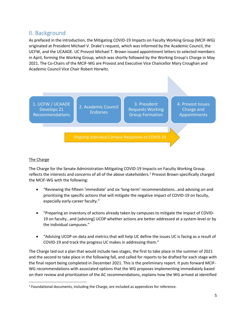# II. Background

As prefaced in the introduction, the Mitigating COVID-19 Impacts on Faculty Working Group (MCIF-WG) originated at President Michael V. Drake's request, which was informed by the Academic Council, the UCFW, and the UCAADE. UC Provost Michael T. Brown issued appointment letters to selected members in April, forming the Working Group, which was shortly followed by the Working Group's Charge in May 2021. The Co-Chairs of the MCIF-WG are Provost and Executive Vice Chancellor Mary Croughan and Academic Council Vice Chair Robert Horwitz.



#### The Charge

The Charge for the Senate Administration Mitigating COVID-19 Impacts on Faculty Working Group reflects the interests and concerns of all of the above stakeholders.<sup>[1](#page-5-0)</sup> Provost Brown specifically charged the MCIF-WG with the following:

- "Reviewing the fifteen 'immediate' and six 'long-term' recommendations…and advising on and prioritizing the specific actions that will mitigate the negative impact of COVID-19 on faculty, especially early-career faculty."
- "Preparing an inventory of actions already taken by campuses to mitigate the impact of COVID-19 on faculty…and [advising] UCOP whether actions are better addressed at a system-level or by the individual campuses."
- "Advising UCOP on data and metrics that will help UC define the issues UC is facing as a result of COVID-19 and track the progress UC makes in addressing them."

The Charge laid out a plan that would include two stages, the first to take place in the summer of 2021 and the second to take place in the following fall, and called for reports to be drafted for each stage with the final report being completed in December 2021. This is the preliminary report. It puts forward MCIF-WG recommendations with associated options that the WG proposes implementing immediately based on their review and prioritization of the AC recommendations, explains how the WG arrived at identified

<span id="page-5-0"></span> <sup>1</sup> Foundational documents, including the Charge, are included as appendices for reference.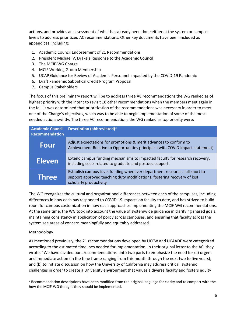actions, and provides an assessment of what has already been done either at the system or campus levels to address prioritized AC recommendations. Other key documents have been included as appendices, including:

- 1. Academic Council Endorsement of 21 Recommendations
- 2. President Michael V. Drake's Response to the Academic Council
- 3. The MCIF-WG Charge
- 4. MCIF Working Group Membership
- 5. UCAP Guidance for Review of Academic Personnel Impacted by the COVID-19 Pandemic
- 6. Draft Pandemic Sabbatical Credit Program Proposal
- 7. Campus Stakeholders

The focus of this preliminary report will be to address three AC recommendations the WG ranked as of highest priority with the intent to revisit 18 other recommendations when the members meet again in the fall. It was determined that prioritization of the recommendations was necessary in order to meet one of the Charge's objectives, which was to be able to begin implementation of some of the most needed actions swiftly. The three AC recommendations the WG ranked as top priority were:

| <b>Academic Council</b><br>Recommendation | <b>Description (abbreviated)<sup>2</sup></b>                                                                                                                                     |
|-------------------------------------------|----------------------------------------------------------------------------------------------------------------------------------------------------------------------------------|
| Four                                      | Adjust expectations for promotions & merit advances to conform to<br>Achievement Relative to Opportunities principles (with COVID impact statement)                              |
| <b>Eleven</b>                             | Extend campus funding mechanisms to impacted faculty for research recovery,<br>including costs related to graduate and postdoc support.                                          |
| <b>Three</b>                              | Establish campus-level funding whenever department resources fall short to<br>support approved teaching duty modifications, fostering recovery of lost<br>scholarly productivity |

The WG recognizes the cultural and organizational differences between each of the campuses, including differences in how each has responded to COVID-19 impacts on faculty to date, and has strived to build room for campus customization in how each approaches implementing the MCIF-WG recommendations. At the same time, the WG took into account the value of systemwide guidance in clarifying shared goals, maintaining consistency in application of policy across campuses, and ensuring that faculty across the system see areas of concern meaningfully and equitably addressed.

#### Methodology

As mentioned previously, the 21 recommendations developed by UCFW and UCAADE were categorized according to the estimated timelines needed for implementation. In their original letter to the AC, they wrote, "We have divided our…recommendations…into two parts to emphasize the need for (a) urgent and immediate action (in the time frame ranging from this month through the next two to five years); and (b) to initiate discussion on how the University of California may address critical, systemic challenges in order to create a University environment that values a diverse faculty and fosters equity

<span id="page-6-0"></span><sup>&</sup>lt;sup>2</sup> Recommendation descriptions have been modified from the original language for clarity and to comport with the how the MCIF-WG thought they should be implemented.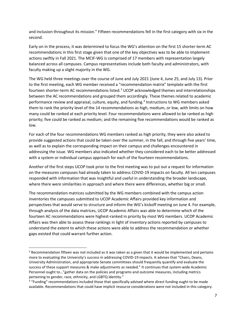and inclusion throughout its mission." Fifteen recommendations fell in the first category with six in the second.

Early on in the process, it was determined to focus the WG's attention on the first 15 shorter-term AC recommendations in this first stage given that one of the key objectives was to be able to implement actions swiftly in Fall 2021. The MCIF-WG is comprised of 17 members with representation largely balanced across all campuses. Campus representatives include both faculty and administrators, with faculty making up a slight majority in the WG.

The WG held three meetings over the course of June and July 2021 (June 4, June 25, and July 13). Prior to the first meeting, each WG member received a "recommendation matrix" template with the first fourteen shorter-term AC recommendations listed.<sup>[3](#page-7-0)</sup> UCOP acknowledged themes and interrelationships between the AC recommendations and grouped them accordingly. These themes related to academic performance review and appraisal, culture, equity, and funding.[4](#page-7-1) Instructions to WG members asked them to rank the priority level of the 14 recommendations as high, medium, or low, with limits on how many could be ranked at each priority level. Four recommendations were allowed to be ranked as high priority; five could be ranked as medium; and the remaining five recommendations would be ranked as low.

For each of the four recommendations WG members ranked as high priority, they were also asked to provide suggested actions that could be taken over the summer, in the fall, and through five years' time, as well as to explain the corresponding impact on their campus and challenges encountered in addressing the issue. WG members also indicated whether they considered each to be better addressed with a system or individual campus approach for each of the fourteen recommendations.

Another of the first steps UCOP took prior to the first meeting was to put out a request for information on the measures campuses had already taken to address COVID-19 impacts on faculty. All ten campuses responded with information that was insightful and useful in understanding the broader landscape, where there were similarities in approach and where there were differences, whether big or small.

The recommendation matrices submitted by the WG members combined with the campus action inventories the campuses submitted to UCOP Academic Affairs provided key information and perspectives that would serve to structure and inform the WG's kickoff meeting on June 4. For example, through analysis of the data matrices, UCOP Academic Affairs was able to determine which of the fourteen AC recommendations were highest-ranked in priority by most WG members. UCOP Academic Affairs was then able to assess these rankings in light of inventory actions reported by campuses to understand the extent to which these actions were able to address the recommendation or whether gaps existed that could warrant further action.

<span id="page-7-0"></span><sup>&</sup>lt;sup>3</sup> Recommendation fifteen was not included as it was taken as a given that it would be implemented and pertains more to evaluating the University's success in addressing COVID-19 impacts. It advises that "Chairs, Deans, University Administration, and appropriate Senate committees should frequently quantify and evaluate the success of these support measures & make adjustments as needed." It continues that system-wide Academic Personnel ought to…"gather data on the policies and programs and outcome measures, including metrics pertaining to gender, race, ethnicity, and LGBTQ identity."

<span id="page-7-1"></span><sup>4</sup> "Funding" recommendations included those that specifically advised where direct funding ought to be made available. Recommendations that could have implicit resource considerations were not included in this category.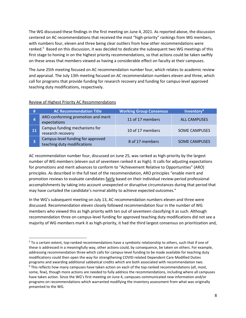The WG discussed these findings in the first meeting on June 4, 2021. As reported above, the discussion centered on AC recommendations that received the most "high-priority" rankings from WG members, with numbers four, eleven and three being clear outliers from how other recommendations were ranked.<sup>[5](#page-8-0)</sup> Based on this discussion, it was decided to dedicate the subsequent two WG meetings of this first stage to honing in on the highest priority recommendations, so that actions could be taken swiftly on these areas that members viewed as having a considerable effect on faculty at their campuses.

The June 25th meeting focused on AC recommendation number four, which relates to academic review and appraisal. The July 13th meeting focused on AC recommendation numbers eleven and three, which call for programs that provide funding for research recovery and funding for campus-level approved teaching duty modifications, respectively.

| Ħ          | <b>AC Recommendation Title</b>                                   | <b>Working Group Consensus</b> | Inventory <sup>6</sup> |
|------------|------------------------------------------------------------------|--------------------------------|------------------------|
| 4          | ARO-conforming promotion and merit<br>expectations               | 11 of 17 members               | <b>ALL CAMPUSES</b>    |
| <b>A11</b> | Campus funding mechanisms for<br>research recovery               | 10 of 17 members               | <b>SOME CAMPUSES</b>   |
|            | Campus-level funding for approved<br>teaching duty modifications | 8 of 17 members                | <b>SOME CAMPUSES</b>   |

#### Review of Highest Priority AC Recommendations

AC recommendation number four, discussed on June 25, was ranked as high-priority by the largest number of WG members (eleven out of seventeen ranked it as high). It calls for adjusting expectations for promotions and merit advances to conform to "Achievement Relative to Opportunities" (ARO) principles. As described in the full text of the recommendation, ARO principles "enable merit and promotion reviews to evaluate candidates *fairly* based on their individual review-period professional accomplishments by taking into account unexpected or disruptive circumstances during that period that may have curtailed the candidate's normal ability to achieve expected outcomes."

In the WG's subsequent meeting on July 13, AC recommendation numbers eleven and three were discussed. Recommendation eleven closely followed recommendation four in the number of WG members who viewed this as high priority with ten out of seventeen classifying it as such. Although recommendation three on campus-level funding for approved teaching duty modifications did not see a majority of WG members mark it as high-priority, it had the third largest consensus on prioritization and,

<span id="page-8-1"></span><span id="page-8-0"></span> <sup>5</sup> To a certain extent, top-ranked recommendations have a symbiotic relationship to others, such that if one of these is addressed in a meaningfully way, other actions could, by consequence, be taken on others. For example, addressing recommendation three which calls for campus-level funding to be made available for teaching duty modifications could then open the way for strengthening COVID-related Dependent Care Modified Duties programs and awarding additional sabbatical credits which are both associated with recommendation two.  $6$  This reflects how many campuses have taken action on each of the top-ranked recommendations (all, most, some, few), though more actions are needed to fully address the recommendations, including where all campuses have taken action. Since the WG's first meeting on June 4, campuses communicated new information and/or programs on recommendations which warranted modifying the inventory assessment from what was originally presented to the WG.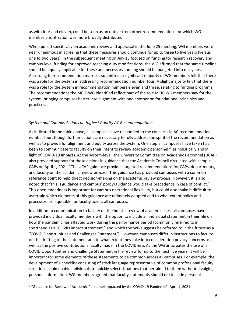as with four and eleven, could be seen as an outlier from other recommendations for which WG member prioritization was more broadly distributed.

When polled specifically on academic review and appraisal in the June 25 meeting, WG members were near unanimous in agreeing that these measures should continue for up to three to five years (versus one to two years). In the subsequent meeting on July 13 focused on funding for research recovery and campus-level funding for approved teaching duty modifications, the WG affirmed that the same timeline should be equally applicable for these and necessary funding should be budgeted into out-years. According to recommendation matrices submitted, a significant majority of WG members felt that there was a role for the system in addressing recommendation number four. A slight majority felt that there was a role for the system in recommendation numbers eleven and three, relating to funding programs. The recommendations the MCIF-WG identified reflect part of the role MCIF-WG members saw for the system, bringing campuses better into alignment with one another on foundational principles and practices.

#### *System and Campus Actions on Highest Priority AC Recommendations*

As indicated in the table above, all campuses have responded to the concerns in AC recommendation number four, though further actions are necessary to fully address the spirit of the recommendation as well as to provide for alignment and equity across the system. One step all campuses have taken has been to communicate to faculty on their intent to review academic personnel files holistically and in light of COVID-19 impacts. At the system-level, the University Committee on Academic Personnel (UCAP) also provided support for these actions in guidance that the Academic Council circulated with campus CAPs on April 1, 2021.<sup>[7](#page-9-0)</sup> The UCAP guidance provides targeted recommendations for CAPs, departments, and faculty on the academic review process. This guidance has provided campuses with a common reference point to help direct decision-making on the academic review process. However, it is also noted that "this is guidance and campus' policy/guidance would take precedence in case of conflict." This open-endedness is important for campus operational flexibility, but could also make it difficult to ascertain which elements of this guidance are ultimately adopted and to what extent policy and processes are equitable for faculty across all campuses.

In addition to communication to faculty on the holistic review of academic files, all campuses have provided individual faculty members with the option to include an individual statement in their file on how the pandemic has affected work during the performance period (commonly referred to in shorthand as a "COVID impact statement," and which the WG suggests be referred to in the future as a "COVID Opportunities and Challenges Statement"). However, campuses differ in instructions to faculty on the drafting of the statement and to what extent they take into consideration privacy concerns as well as the positive contributions faculty made in the COVID-era. As the WG anticipates the use of a COVID Opportunities and Challenge Statement in file review for up to the next five years, it will be important for some elements of these statements to be common across all campuses. For example, the development of a checklist consisting of stock language representative of common professional faculty situations could enable individuals to quickly select situations that pertained to them without divulging personal information. WG members agreed that faculty statements should not include personal

<span id="page-9-0"></span><sup>&</sup>lt;sup>7</sup> "Guidance for Review of Academic Personnel Impacted by the COVID-19 Pandemic", April 1, 2021.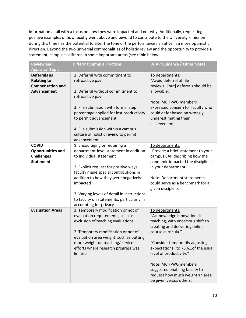information at all with a focus on how they were impacted and not why. Additionally, requesting positive examples of how faculty went above and beyond to contribute to the University's mission during this time has the potential to alter the tone of the performance narrative in a more optimistic direction. Beyond the two universal commonalities of holistic review and the opportunity to provide a statement, campuses differed in some important areas (see table below).

| <b>Review and</b><br><b>Appraisal Topic</b>                                         | <b>Differing Campus Practices</b>                                                                                                                                                                                                                                                                                                                              | <b>UCAP Guidance / Other Notes</b>                                                                                                                                                                                                                                                                                                                                 |
|-------------------------------------------------------------------------------------|----------------------------------------------------------------------------------------------------------------------------------------------------------------------------------------------------------------------------------------------------------------------------------------------------------------------------------------------------------------|--------------------------------------------------------------------------------------------------------------------------------------------------------------------------------------------------------------------------------------------------------------------------------------------------------------------------------------------------------------------|
| Deferrals as<br><b>Relating to</b><br><b>Compensation and</b><br><b>Advancement</b> | 1. Deferral with commitment to<br>retroactive pay<br>2. Deferral without commitment to<br>retroactive pay<br>3. File submission with formal step<br>percentage applied for lost productivity<br>to permit advancement<br>4. File submission within a campus<br>culture of holistic review to permit<br>advancement                                             | To departments:<br>"Avoid deferral of file<br>reviews[but] deferrals should be<br>allowable."<br>Note: MCIF-WG members<br>expressed concern for faculty who<br>could defer based on wrongly<br>underestimating their<br>achievements.                                                                                                                              |
| <b>COVID</b><br><b>Opportunities and</b><br><b>Challenges</b><br><b>Statement</b>   | 1. Encouraging or requiring a<br>department-level statement in addition<br>to individual statement<br>2. Explicit request for positive ways<br>faculty made special contributions in<br>addition to how they were negatively<br>impacted<br>3. Varying levels of detail in instructions<br>to faculty on statements, particularly in<br>accounting for privacy | To departments:<br>"Provide a brief statement to your<br>campus CAP describing how the<br>pandemic impacted the disciplines<br>in your department."<br>Note: Department statements<br>could serve as a benchmark for a<br>given discipline.                                                                                                                        |
| <b>Evaluation Areas</b>                                                             | 1. Temporary modification or not of<br>evaluation requirements, such as<br>exclusion of teaching evaluations<br>2. Temporary modification or not of<br>evaluation area weight, such as putting<br>more weight on teaching/service<br>efforts where research progress was<br>limited                                                                            | To departments:<br>"Acknowledge innovations in<br>teaching, with enormous shift to<br>creating and delivering online<br>course curricula."<br>"Consider temporarily adjusting<br>expectationsto 75%of the usual<br>level of productivity."<br>Note: MCIF-WG members<br>suggested enabling faculty to<br>request how much weight an area<br>be given versus others. |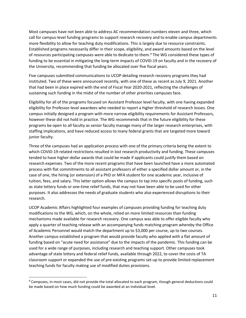Most campuses have not been able to address AC recommendation numbers eleven and three, which call for campus-level funding programs to support research recovery and to enable campus departments more flexibility to allow for teaching duty modifications. This is largely due to resource constraints. Established programs necessarily differ in their scope, eligibility, and award amounts based on the level of resources participating campuses were able to dedicate to them.<sup>[8](#page-11-0)</sup> The WG considered these types of funding to be essential in mitigating the long-term impacts of COVID-19 on faculty and in the recovery of the University, recommending that funding be allocated over five fiscal years.

Five campuses submitted communications to UCOP detailing research recovery programs they had instituted. Two of these were announced recently, with one of these as recent as July 9, 2021. Another that had been in place expired with the end of Fiscal Year 2020-2021, reflecting the challenges of sustaining such funding in the midst of the number of other priorities campuses face.

Eligibility for all of the programs focused on Assistant Professor level faculty, with one having expanded eligibility for Professor-level awardees who needed to report a higher threshold of research losses. One campus initially designed a program with more narrow eligibility requirements for Assistant Professors, however these did not hold in practice. The WG recommends that in the future eligibility for these programs be open to all faculty as senior faculty manage many of the larger research enterprises, with staffing implications, and have reduced access to many federal grants that are targeted more toward junior faculty.

Three of the campuses had an application process with one of the primary criteria being the extent to which COVID-19-related restrictions resulted in lost research productivity and funding. These campuses tended to have higher-dollar awards that could be made if applicants could justify them based on research expenses. Two of the more recent programs that have been launched have a more automated process with flat commitments to all assistant professors of either a specified dollar amount or, in the case of one, the hiring (or extension) of a PhD or MFA student for one academic year, inclusive of tuition, fees, and salary. This latter option allows the campus to tap into specific pools of funding, such as state lottery funds or one-time relief funds, that may not have been able to be used for other purposes. It also addresses the needs of graduate students who also experienced disruptions to their research.

UCOP Academic Affairs highlighted four examples of campuses providing funding for teaching duty modifications to the WG, which, on the whole, relied on more limited resources than funding mechanisms made available for research recovery. One campus was able to offer eligible faculty who apply a quarter of teaching release with an accompanying funds matching program whereby the Office of Academic Personnel would match the department up to \$3,000 per course, up to two courses. Another campus established a program that would provide faculty who applied with a flat amount of funding based on "acute need for assistance" due to the impacts of the pandemic. This funding can be used for a wide range of purposes, including research and teaching support. Other campuses took advantage of state lottery and federal relief funds, available through 2022, to cover the costs of TA classroom support or expanded the use of pre-existing programs set-up to provide limited replacement teaching funds for faculty making use of modified duties provisions.

<span id="page-11-0"></span><sup>&</sup>lt;sup>8</sup> Campuses, in most cases, did not provide the total allocated to each program, though general deductions could be made based on how much funding could be awarded at an individual level.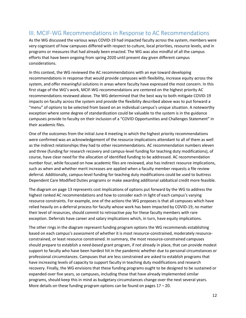# III. MCIF-WG Recommendations in Response to AC Recommendations

As the WG discussed the various ways COVID-19 had impacted faculty across the system, members were very cognizant of how campuses differed with respect to culture, local priorities, resource levels, and in programs or measures that had already been enacted. The WG was also mindful of all the campus efforts that have been ongoing from spring 2020 until present day given different campus considerations.

In this context, the WG reviewed the AC recommendations with an eye toward developing recommendations in response that would provide campuses with flexibility, increase equity across the system, and offer meaningful solutions in areas where faculty have expressed the most concern. In this first stage of the WG's work, MCIF-WG recommendations are centered on the highest priority AC recommendations reviewed above. The WG determined that the best way to both mitigate COVID-19 impacts on faculty across the system and provide the flexibility described above was to put forward a "menu" of options to be selected from based on an individual campus's unique situation. A noteworthy exception where some degree of standardization could be valuable to the system is in the guidance campuses provide to faculty on their inclusion of a "COVID Opportunities and Challenges Statement" in their academic files.

One of the outcomes from the initial June 4 meeting in which the highest priority recommendations were confirmed was an acknowledgement of the resource implications attendant to all of them as well as the indirect relationships they had to other recommendations. AC recommendation numbers eleven and three (funding for research recovery and campus-level funding for teaching duty modifications), of course, have clear need for the allocation of identified funding to be addressed. AC recommendation number four, while focused on how academic files are reviewed, also has indirect resource implications, such as when and whether merit increases are applied when a faculty member requests a file review deferral. Additionally, campus-level funding for teaching duty modifications could be used to buttress Dependent Care Modified Duties programs or make awarding additional sabbatical credit more feasible.

The diagram on page 13 represents cost implications of options put forward by the WG to address the highest ranked AC recommendations and how to consider each in light of each campus's varying resource constraints. For example, one of the actions the WG proposes is that all campuses which have relied heavily on a deferral process for faculty whose work has been impacted by COVID-19, no matter their level of resources, should commit to retroactive pay for these faculty members with rare exception. Deferrals have career and salary implications which, in turn, have equity implications.

The other rings in the diagram represent funding program options the WG recommends establishing based on each campus's assessment of whether it is most resource-constrained, moderately resourceconstrained, or least resource constrained. In summary, the most resource-constrained campuses should prepare to establish a *need-based* grant program, if not already in place, that can provide modest support to faculty who have been hardest hit in the pandemic whether due to personal circumstances or professional circumstances. Campuses that are less constrained are asked to establish programs that have increasing levels of capacity to support faculty in teaching duty modifications and research recovery. Finally, the WG envisions that these funding programs ought to be designed to be sustained or expanded over five years, so campuses, including those that have already implemented similar programs, should keep this in mind as budgetary circumstances change over the next several years. More details on these funding program options can be found on pages 17 – 20.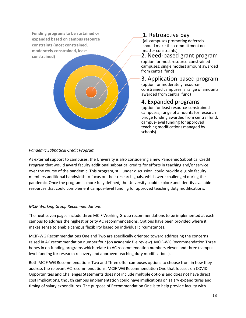**Funding programs to be sustained or expanded based on campus resource constraints (most constrained, moderately constrained, least constrained)**

# 1. Retroactive pay

(all campuses promoting deferrals should make this committment no matter constraints)

#### 2. Need-based grant program

(option for most resource-constrained campuses; single modest amount awarded from central fund)

#### 3. Application-based program

(option for moderately resourceconstrained campuses; a range of amounts awarded from central fund)

# 4. Expanded programs

(option for least resource-constrained campuses; range of amounts for research bridge funding awarded from central fund; campus-level funding for approved teaching modifications managed by schools)

#### *Pandemic Sabbatical Credit Program*

As external support to campuses, the University is also considering a new Pandemic Sabbatical Credit Program that would award faculty additional sabbatical credits for efforts in teaching and/or service over the course of the pandemic. This program, still under discussion, could provide eligible faculty members additional bandwidth to focus on their research goals, which were challenged during the pandemic. Once the program is more fully defined, the University could explore and identify available resources that could complement campus-level funding for approved teaching duty modifications.

#### *MCIF Working Group Recommendations*

The next seven pages include three MCIF Working Group recommendations to be implemented at each campus to address the highest priority AC recommendations. Options have been provided where it makes sense to enable campus flexibility based on individual circumstances.

MCIF-WG Recommendations One and Two are specifically oriented toward addressing the concerns raised in AC recommendation number four (on academic file review). MCIF-WG Recommendation Three hones in on funding programs which relate to AC recommendation numbers eleven and three (campuslevel funding for research recovery and approved teaching duty modifications).

Both MCIF-WG Recommendations Two and Three offer campuses options to choose from in how they address the relevant AC recommendations. MCIF-WG Recommendation One that focuses on COVID Opportunities and Challenges Statements does not include multiple options and does not have direct cost implications, though campus implementation could have implications on salary expenditures and timing of salary expenditures. The purpose of Recommendation One is to help provide faculty with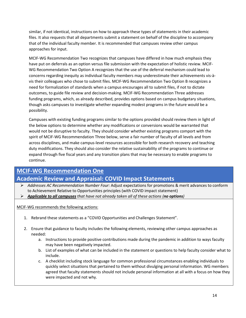similar, if not identical, instructions on how to approach these types of statements in their academic files. It also requests that all departments submit a statement on behalf of the discipline to accompany that of the individual faculty member. It is recommended that campuses review other campus approaches for input.

MCIF-WG Recommendation Two recognizes that campuses have differed in how much emphasis they have put on deferrals as an option versus file submission with the expectation of holistic review. MCIF-WG Recommendation Two Option A recognizes that the use of the deferral mechanism could lead to concerns regarding inequity as individual faculty members may underestimate their achievements vis-àvis their colleagues who chose to submit files. MCIF-WG Recommendation Two Option B recognizes a need for formalization of standards when a campus encourages all to submit files, if not to dictate outcomes, to guide file review and decision-making. MCIF-WG Recommendation Three addresses funding programs, which, as already described, provides options based on campus budgetary situations, though asks campuses to investigate whether expanding modest programs in the future would be a possibility.

Campuses with existing funding programs similar to the options provided should review them in light of the below options to determine whether any modifications or conversions would be warranted that would not be disruptive to faculty. They should consider whether existing programs comport with the spirit of MCIF-WG Recommendation Three below, serve a fair number of faculty of all levels and from across disciplines, and make campus-level resources accessible for both research recovery and teaching duty modifications. They should also consider the relative sustainability of the programs to continue or expand through five fiscal years and any transition plans that may be necessary to enable programs to continue.

# **MCIF-WG Recommendation One Academic Review and Appraisal: COVID Impact Statements**

- *Addresses AC Recommendation Number Four:* Adjust expectations for promotions & merit advances to conform to Achievement Relative to Opportunities principles (with COVID impact statement)
- *Applicable to all campuses that have not already taken all of these actions (no options)*

MCIF-WG recommends the following actions:

- 1. Rebrand these statements as a "COVID Opportunities and Challenges Statement".
- 2. Ensure that guidance to faculty includes the following elements, reviewing other campus approaches as needed:
	- a. Instructions to provide positive contributions made during the pandemic in addition to ways faculty may have been negatively impacted.
	- b. List of examples of what can be included in the statement or questions to help faculty consider what to include.
	- c. A checklist including stock language for common professional circumstances enabling individuals to quickly select situations that pertained to them without divulging personal information. WG members agreed that faculty statements should not include personal information at all with a focus on how they were impacted and not why.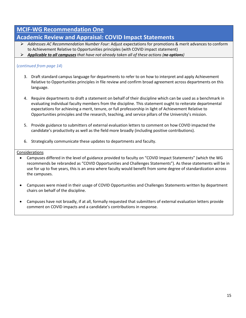# **MCIF-WG Recommendation One**

# **Academic Review and Appraisal: COVID Impact Statements**

- *Addresses AC Recommendation Number Four:* Adjust expectations for promotions & merit advances to conform to Achievement Relative to Opportunities principles (with COVID impact statement)
- *Applicable to all campuses that have not already taken all of these actions (no options)*

#### (*continued from page 14*)

- 3. Draft standard campus language for departments to refer to on how to interpret and apply Achievement Relative to Opportunities principles in file review and confirm broad agreement across departments on this language.
- 4. Require departments to draft a statement on behalf of their discipline which can be used as a benchmark in evaluating individual faculty members from the discipline. This statement ought to reiterate departmental expectations for achieving a merit, tenure, or full professorship in light of Achievement Relative to Opportunities principles and the research, teaching, and service pillars of the University's mission.
- 5. Provide guidance to submitters of external evaluation letters to comment on how COVID impacted the candidate's productivity as well as the field more broadly (including positive contributions).
- 6. Strategically communicate these updates to departments and faculty.

#### **Considerations**

- Campuses differed in the level of guidance provided to faculty on "COVID Impact Statements" (which the WG recommends be rebranded as "COVID Opportunities and Challenges Statements"). As these statements will be in use for up to five years, this is an area where faculty would benefit from some degree of standardization across the campuses.
- Campuses were mixed in their usage of COVID Opportunities and Challenges Statements written by department chairs on behalf of the discipline.
- Campuses have not broadly, if at all, formally requested that submitters of external evaluation letters provide comment on COVID impacts and a candidate's contributions in response.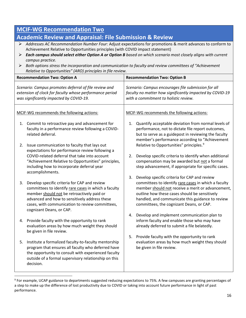| <b>MCIF-WG Recommendation Two</b>                                                                                                                                                                                                                                                                                                                                                                                                                                                                                                                                                                  |                                                                                                                                                                                                                                                                                    |                                                                                                                                                                                                                                                                                                                  |  |
|----------------------------------------------------------------------------------------------------------------------------------------------------------------------------------------------------------------------------------------------------------------------------------------------------------------------------------------------------------------------------------------------------------------------------------------------------------------------------------------------------------------------------------------------------------------------------------------------------|------------------------------------------------------------------------------------------------------------------------------------------------------------------------------------------------------------------------------------------------------------------------------------|------------------------------------------------------------------------------------------------------------------------------------------------------------------------------------------------------------------------------------------------------------------------------------------------------------------|--|
| <b>Academic Review and Appraisal: File Submission &amp; Review</b><br>Addresses AC Recommendation Number Four: Adjust expectations for promotions & merit advances to conform to<br>➤<br>Achievement Relative to Opportunities principles (with COVID impact statement)<br>Each campus should select either Option A or Option B based on which scenario most closely aligns with current<br>➤<br>campus practice.<br>Both options stress the incorporation and communication to faculty and review committees of "Achievement<br>➤<br>Relative to Opportunities" (ARO) principles in file review. |                                                                                                                                                                                                                                                                                    |                                                                                                                                                                                                                                                                                                                  |  |
|                                                                                                                                                                                                                                                                                                                                                                                                                                                                                                                                                                                                    | <b>Recommendation Two: Option A</b>                                                                                                                                                                                                                                                | <b>Recommendation Two: Option B</b>                                                                                                                                                                                                                                                                              |  |
| Scenario: Campus promotes deferral of file review and<br>extension of clock for faculty whose performance period<br>was significantly impacted by COVID-19.                                                                                                                                                                                                                                                                                                                                                                                                                                        |                                                                                                                                                                                                                                                                                    | Scenario: Campus encourages file submission for all<br>faculty no matter how significantly impacted by COVID-19<br>with a commitment to holistic review.                                                                                                                                                         |  |
| MCIF-WG recommends the following actions:                                                                                                                                                                                                                                                                                                                                                                                                                                                                                                                                                          |                                                                                                                                                                                                                                                                                    | MCIF-WG recommends the following actions:                                                                                                                                                                                                                                                                        |  |
| 1.                                                                                                                                                                                                                                                                                                                                                                                                                                                                                                                                                                                                 | Commit to retroactive pay and advancement for<br>faculty in a performance review following a COVID-<br>related deferral.                                                                                                                                                           | Quantify acceptable deviation from normal levels of<br>1.<br>performance, not to dictate file report outcomes,<br>but to serve as a guidepost in reviewing the faculty<br>member's performance according to "Achievement                                                                                         |  |
| 2.                                                                                                                                                                                                                                                                                                                                                                                                                                                                                                                                                                                                 | Issue communication to faculty that lays out<br>expectations for performance review following a<br>COVID-related deferral that take into account<br>"Achievement Relative to Opportunities" principles,<br>including how to incorporate deferral year<br>accomplishments.          | Relative to Opportunities" principles. <sup>9</sup><br>Develop specific criteria to identify when additional<br>2.<br>compensation may be awarded but not a formal<br>step advancement, if appropriate for specific cases.                                                                                       |  |
| 3.                                                                                                                                                                                                                                                                                                                                                                                                                                                                                                                                                                                                 | Develop specific criteria for CAP and review<br>committees to identify rare cases in which a faculty<br>member should not be retroactively paid or<br>advanced and how to sensitively address these<br>cases, with communication to review committees,<br>cognizant Deans, or CAP. | Develop specific criteria for CAP and review<br>3.<br>committees to identify rare cases in which a faculty<br>member should not receive a merit or advancement,<br>outline how these cases should be sensitively<br>handled, and communicate this guidance to review<br>committees, the cognizant Deans, or CAP. |  |
| 4.                                                                                                                                                                                                                                                                                                                                                                                                                                                                                                                                                                                                 | Provide faculty with the opportunity to rank<br>evaluation areas by how much weight they should<br>be given in file review.                                                                                                                                                        | Develop and implement communication plan to<br>4.<br>inform faculty and enable those who may have<br>already deferred to submit a file belatedly.                                                                                                                                                                |  |
| 5.                                                                                                                                                                                                                                                                                                                                                                                                                                                                                                                                                                                                 | Institute a formalized faculty-to-faculty mentorship<br>program that ensures all faculty who deferred have<br>the opportunity to consult with experienced faculty<br>outside of a formal supervisory relationship on this<br>decision.                                             | 5. Provide faculty with the opportunity to rank<br>evaluation areas by how much weight they should<br>be given in file review.                                                                                                                                                                                   |  |

<span id="page-16-0"></span> <sup>9</sup> For example, UCAP guidance to departments suggested reducing expectations to 75%. A few campuses are granting percentages of a step to make up the difference of lost productivity due to COVID or taking into account future performance in light of past performance.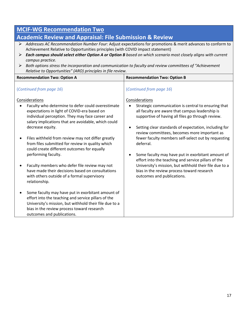#### **Academic Review and Appraisal: File Submission & Review** *Addresses AC Recommendation Number Four:* Adjust expectations for promotions & merit advances to conform to Achievement Relative to Opportunities principles (with COVID impact statement) *Each campus should select either Option A or Option B based on which scenario most closely aligns with current campus practice. Both options stress the incorporation and communication to faculty and review committees of "Achievement Relative to Opportunities" (ARO) principles in file review.* **Recommendation Two: Option A Recommendation Two: Option B** (*Continued from page 16*) Considerations Faculty who determine to defer could overestimate expectations in light of COVID-era based on individual perception. They may face career and salary implications that are avoidable, which could decrease equity. Files withheld from review may not differ greatly from files submitted for review in quality which could create different outcomes for equally performing faculty. • Faculty members who defer file review may not have made their decisions based on consultations with others outside of a formal supervisory relationship. • Some faculty may have put in exorbitant amount of effort into the teaching and service pillars of the University's mission, but withhold their file due to a bias in the review process toward research outcomes and publications. (*Continued from page 16*) Considerations Strategic communication is central to ensuring that all faculty are aware that campus leadership is supportive of having all files go through review. • Setting clear standards of expectation, including for review committees, becomes more important as fewer faculty members self-select out by requesting deferral. • Some faculty may have put in exorbitant amount of effort into the teaching and service pillars of the University's mission, but withhold their file due to a bias in the review process toward research outcomes and publications.

**MCIF-WG Recommendation Two**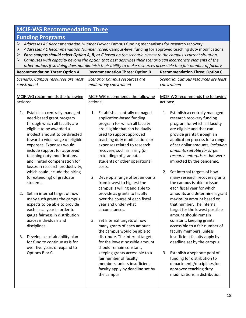# **MCIF-WG Recommendation Three**

### **Funding Programs**

- *Addresses AC Recommendation Number Eleven:* Campus funding mechanisms for research recovery
- *Addresses AC Recommendation Number Three:* Campus-level funding for approved teaching duty modifications
- *Each campus should select Option A, B, or C based on the scenario closest to the campus's current situation.*
- *Campuses with capacity beyond the option that best describes their scenario can incorporate elements of the other options if so doing does not diminish their ability to make resources accessible to a fair number of faculty.*

| Scenario: Campus resources are<br>Scenario: Campus resources are most<br>Scenario: Campus resources are least<br>moderately constrained<br>constrained<br>constrained<br>MCIF-WG recommends the following<br>MCIF-WG recommends the following<br>MCIF-WG recommends the following<br>actions:<br>actions:<br>actions:<br>1. Establish a centrally managed<br>Establish a centrally managed<br>Establish a centrally managed<br>1.<br>1.<br>application-based funding<br>need-based grant program<br>research recovery funding<br>through which all faculty are<br>program for which all faculty<br>program for which all faculty<br>eligible to be awarded a<br>are eligible that can be dually<br>are eligible and that can<br>modest amount to be directed<br>used to support approved<br>provide grants through an<br>toward a wide range of eligible<br>teaching duty modifications or<br>application process for a range<br>expenses. Expenses would<br>expenses related to research<br>of set dollar amounts, including<br>include support for approved<br>recovery, such as hiring (or<br>amounts suitable for larger<br>teaching duty modifications,<br>extending) of graduate<br>research enterprises that were<br>and limited compensation for<br>students or other operational<br>impacted by the pandemic.<br>losses in research productivity,<br>costs.<br>which could include the hiring<br>Set internal targets of how<br>2.<br>(or extending) of graduate<br>Develop a range of set amounts<br>many research recovery grants<br>2.<br>students.<br>from lowest to highest the<br>the campus is able to issue<br>campus is willing and able to<br>each fiscal year for which<br>provide as grants to faculty<br>2. Set an internal target of how<br>over the course of each fiscal<br>maximum amount based on<br>many such grants the campus<br>expects to be able to provide<br>that number. The internal<br>year and under what<br>each fiscal year in order to<br>target for the lowest possible<br>circumstances.<br>gauge fairness in distribution<br>amount should remain<br>across individuals and<br>Set internal targets of how<br>constant, keeping grants<br>3.<br>accessible to a fair number of<br>disciplines.<br>many grants of each amount<br>the campus would be able to<br>faculty members, unless<br>3. Develop a sustainability plan<br>distribute. The internal target<br>insufficient faculty apply by<br>for fund to continue as is for<br>for the lowest possible amount<br>deadline set by the campus.<br>over five years or expand to<br>should remain constant,<br>Options B or C.<br>keeping grants accessible to a<br>Establish a separate pool of<br>3.<br>fair number of faculty<br>funding for distribution to<br>members, unless insufficient<br>departments/disciplines for<br>approved teaching duty<br>faculty apply by deadline set by | <b>Recommendation Three: Option A</b> | <b>Recommendation Three: Option B</b> | <b>Recommendation Three: Option C</b>                          |  |
|--------------------------------------------------------------------------------------------------------------------------------------------------------------------------------------------------------------------------------------------------------------------------------------------------------------------------------------------------------------------------------------------------------------------------------------------------------------------------------------------------------------------------------------------------------------------------------------------------------------------------------------------------------------------------------------------------------------------------------------------------------------------------------------------------------------------------------------------------------------------------------------------------------------------------------------------------------------------------------------------------------------------------------------------------------------------------------------------------------------------------------------------------------------------------------------------------------------------------------------------------------------------------------------------------------------------------------------------------------------------------------------------------------------------------------------------------------------------------------------------------------------------------------------------------------------------------------------------------------------------------------------------------------------------------------------------------------------------------------------------------------------------------------------------------------------------------------------------------------------------------------------------------------------------------------------------------------------------------------------------------------------------------------------------------------------------------------------------------------------------------------------------------------------------------------------------------------------------------------------------------------------------------------------------------------------------------------------------------------------------------------------------------------------------------------------------------------------------------------------------------------------------------------------------------------------------------------------------------------------------------------------------------------------------------------------------------------------------------------------------------------------------------------------------------------------------------------------------------------------------------------------------|---------------------------------------|---------------------------------------|----------------------------------------------------------------|--|
|                                                                                                                                                                                                                                                                                                                                                                                                                                                                                                                                                                                                                                                                                                                                                                                                                                                                                                                                                                                                                                                                                                                                                                                                                                                                                                                                                                                                                                                                                                                                                                                                                                                                                                                                                                                                                                                                                                                                                                                                                                                                                                                                                                                                                                                                                                                                                                                                                                                                                                                                                                                                                                                                                                                                                                                                                                                                                            |                                       |                                       |                                                                |  |
| the campus.                                                                                                                                                                                                                                                                                                                                                                                                                                                                                                                                                                                                                                                                                                                                                                                                                                                                                                                                                                                                                                                                                                                                                                                                                                                                                                                                                                                                                                                                                                                                                                                                                                                                                                                                                                                                                                                                                                                                                                                                                                                                                                                                                                                                                                                                                                                                                                                                                                                                                                                                                                                                                                                                                                                                                                                                                                                                                |                                       |                                       | amounts and determine a grant<br>modifications, a distribution |  |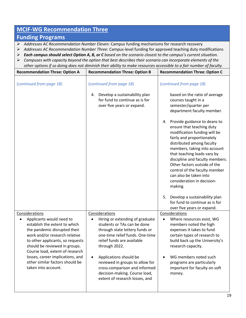# **MCIF-WG Recommendation Three**

#### **Funding Programs**

- *Addresses AC Recommendation Number Eleven:* Campus funding mechanisms for research recovery
- *Addresses AC Recommendation Number Three:* Campus-level funding for approved teaching duty modifications
- *Each campus should select Option A, B, or C based on the scenario closest to the campus's current situation.*
- *Campuses with capacity beyond the option that best describes their scenario can incorporate elements of the other options if so doing does not diminish their ability to make resources accessible to a fair number of faculty.*

| <b>Recommendation Three: Option A</b>                                                                                                                                                                                                                                                                                                              | <b>Recommendation Three: Option B</b>                                                                                                                                                                                                                                                                                                                                      | <b>Recommendation Three: Option C</b>                                                                                                                                                                                                                                                                                                                                                            |
|----------------------------------------------------------------------------------------------------------------------------------------------------------------------------------------------------------------------------------------------------------------------------------------------------------------------------------------------------|----------------------------------------------------------------------------------------------------------------------------------------------------------------------------------------------------------------------------------------------------------------------------------------------------------------------------------------------------------------------------|--------------------------------------------------------------------------------------------------------------------------------------------------------------------------------------------------------------------------------------------------------------------------------------------------------------------------------------------------------------------------------------------------|
| (continued from page 18)                                                                                                                                                                                                                                                                                                                           | (continued from page 18)                                                                                                                                                                                                                                                                                                                                                   | (continued from page 18)                                                                                                                                                                                                                                                                                                                                                                         |
|                                                                                                                                                                                                                                                                                                                                                    | Develop a sustainability plan<br>4.<br>for fund to continue as is for<br>over five years or expand.                                                                                                                                                                                                                                                                        | based on the ratio of average<br>courses taught in a<br>semester/quarter per<br>department faculty member.                                                                                                                                                                                                                                                                                       |
|                                                                                                                                                                                                                                                                                                                                                    |                                                                                                                                                                                                                                                                                                                                                                            | Provide guidance to deans to<br>4.<br>ensure that teaching duty<br>modification funding will be<br>fairly and proportionately<br>distributed among faculty<br>members, taking into account<br>that teaching loads vary by<br>discipline and faculty members.<br>Other factors outside of the<br>control of the faculty member<br>can also be taken into<br>consideration in decision-<br>making. |
|                                                                                                                                                                                                                                                                                                                                                    |                                                                                                                                                                                                                                                                                                                                                                            | Develop a sustainability plan<br>5.<br>for fund to continue as is for<br>over five years or expand.                                                                                                                                                                                                                                                                                              |
| Considerations<br>Applicants would need to<br>establish the extent to which<br>the pandemic disrupted their<br>work and/or research relative<br>to other applicants, so requests<br>should be reviewed in groups.<br>Course load, extent of research<br>losses, career implications, and<br>other similar factors should be<br>taken into account. | Considerations<br>Hiring or extending of graduate<br>٠<br>students or TAs can be done<br>through state lottery funds or<br>one-time relief funds. One-time<br>relief funds are available<br>through 2022.<br>Applications should be<br>reviewed in groups to allow for<br>cross-comparison and informed<br>decision-making. Course load,<br>extent of research losses, and | Considerations<br>Where resources exist, WG<br>$\bullet$<br>members noted the high<br>expenses it takes to fund<br>certain types of research to<br>build back up the University's<br>research capacity.<br>WG members noted such<br>programs are particularly<br>important for faculty on soft<br>money.                                                                                         |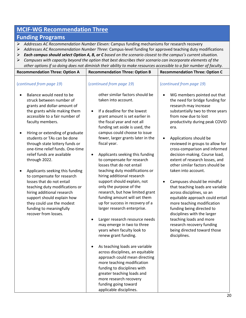# **MCIF-WG Recommendation Three**

## **Funding Programs**

- *Addresses AC Recommendation Number Eleven:* Campus funding mechanisms for research recovery
- *Addresses AC Recommendation Number Three:* Campus-level funding for approved teaching duty modifications
- *Each campus should select Option A, B, or C based on the scenario closest to the campus's current situation.*
- *Campuses with capacity beyond the option that best describes their scenario can incorporate elements of the other options if so doing does not diminish their ability to make resources accessible to a fair number of faculty.*

| <b>Recommendation Three: Option A</b>                                                                                                                                                                                                                                                                                                                                                                                                                                                                                                                                                                                                                                                     | unch options if so doing does not all illinish their dointy to make resources accessible to a fair hamber of facalty.<br><b>Recommendation Three: Option B</b>                                                                                                                                                                                                                                                                                                                                                                                                                                                                                                                                                                                                                                                                                                                                                                                                                                                                                                                                                      | <b>Recommendation Three: Option C</b>                                                                                                                                                                                                                                                                                                                                                                                                                                                                                                                                                                                                                                                                                                                                                        |
|-------------------------------------------------------------------------------------------------------------------------------------------------------------------------------------------------------------------------------------------------------------------------------------------------------------------------------------------------------------------------------------------------------------------------------------------------------------------------------------------------------------------------------------------------------------------------------------------------------------------------------------------------------------------------------------------|---------------------------------------------------------------------------------------------------------------------------------------------------------------------------------------------------------------------------------------------------------------------------------------------------------------------------------------------------------------------------------------------------------------------------------------------------------------------------------------------------------------------------------------------------------------------------------------------------------------------------------------------------------------------------------------------------------------------------------------------------------------------------------------------------------------------------------------------------------------------------------------------------------------------------------------------------------------------------------------------------------------------------------------------------------------------------------------------------------------------|----------------------------------------------------------------------------------------------------------------------------------------------------------------------------------------------------------------------------------------------------------------------------------------------------------------------------------------------------------------------------------------------------------------------------------------------------------------------------------------------------------------------------------------------------------------------------------------------------------------------------------------------------------------------------------------------------------------------------------------------------------------------------------------------|
| (continued from page 19)<br>Balance would need to be<br>struck between number of<br>grants and dollar-amount of<br>the grants while making them<br>accessible to a fair number of<br>faculty members.<br>Hiring or extending of graduate<br>$\bullet$<br>students or TAs can be done<br>through state lottery funds or<br>one-time relief funds. One-time<br>relief funds are available<br>through 2022.<br>Applicants seeking this funding<br>٠<br>to compensate for research<br>losses that do not entail<br>teaching duty modifications or<br>hiring additional research<br>support should explain how<br>they could use the modest<br>funding to meaningfully<br>recover from losses. | (continued from page 19)<br>other similar factors should be<br>taken into account.<br>If a deadline for the lowest<br>$\bullet$<br>grant amount is set earlier in<br>the fiscal year and not all<br>funding set aside is used, the<br>campus could choose to issue<br>fewer, larger grants later in the<br>fiscal year.<br>Applicants seeking this funding<br>$\bullet$<br>to compensate for research<br>losses that do not entail<br>teaching duty modifications or<br>hiring additional research<br>support should explain, not<br>only the purpose of the<br>research, but how limited grant<br>funding amount will set them<br>up for success in recovery of a<br>larger research enterprise.<br>Larger research resource needs<br>$\bullet$<br>may emerge in two to three<br>years when faculty look to<br>renew grant funding.<br>As teaching loads are variable<br>across disciplines, an equitable<br>approach could mean directing<br>more teaching modification<br>funding to disciplines with<br>greater teaching loads and<br>more research recovery<br>funding going toward<br>applicable disciplines. | (continued from page 19)<br>WG members pointed out that<br>the need for bridge funding for<br>research may increase<br>substantially two to three years<br>from now due to lost<br>productivity during peak COVID<br>era.<br>Applications should be<br>٠<br>reviewed in groups to allow for<br>cross-comparison and informed<br>decision-making. Course load,<br>extent of research losses, and<br>other similar factors should be<br>taken into account.<br>Campuses should be mindful<br>that teaching loads are variable<br>across disciplines, so an<br>equitable approach could entail<br>more teaching modification<br>funding being directed to<br>disciplines with the larger<br>teaching loads and more<br>research recovery funding<br>being directed toward those<br>disciplines. |
|                                                                                                                                                                                                                                                                                                                                                                                                                                                                                                                                                                                                                                                                                           |                                                                                                                                                                                                                                                                                                                                                                                                                                                                                                                                                                                                                                                                                                                                                                                                                                                                                                                                                                                                                                                                                                                     | 2                                                                                                                                                                                                                                                                                                                                                                                                                                                                                                                                                                                                                                                                                                                                                                                            |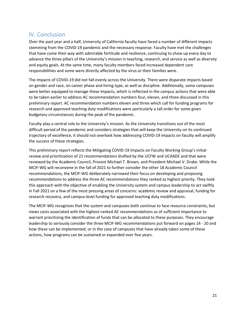# IV. Conclusion

Over the past year and a half, University of California faculty have faced a number of different impacts stemming from the COVID-19 pandemic and the necessary response. Faculty have met the challenges that have come their way with admirable fortitude and resilience, continuing to show up every day to advance the three pillars of the University's mission in teaching, research, and service as well as diversity and equity goals. At the same time, many faculty members faced increased dependent care responsibilities and some were directly affected by the virus or their families were.

The impacts of COVID-19 did not fall evenly across the University. There were disparate impacts based on gender and race, on career phase and hiring type, as well as discipline. Additionally, some campuses were better equipped to manage these impacts, which is reflected in the campus actions that were able to be taken earlier to address AC recommendation numbers four, eleven, and three discussed in this preliminary report. AC recommendation numbers eleven and three which call for funding programs for research and approved teaching duty modifications were particularly a tall order for some given budgetary circumstances during the peak of the pandemic.

Faculty play a central role to the University's mission. As the University transitions out of the most difficult period of the pandemic and considers strategies that will keep the University on its continued trajectory of excellence, it should not overlook how addressing COVID-19 impacts on faculty will amplify the success of these strategies.

This preliminary report reflects the Mitigating COVID-19 Impacts on Faculty Working Group's initial review and prioritization of 21 recommendations drafted by the UCFW and UCAADE and that were reviewed by the Academic Council, Provost Michael T. Brown, and President Michael V. Drake. While the MCIF-WG will reconvene in the fall of 2021 to further consider the other 18 Academic Council recommendations, the MCIF-WG deliberately narrowed their focus on developing and proposing recommendations to address the three AC recommendations they ranked as highest priority. They took this approach with the objective of enabling the University system and campus leadership to act swiftly in Fall 2021 on a few of the most pressing areas of concerns: academic review and appraisal, funding for research recovery, and campus-level funding for approved teaching duty modifications.

The MCIF-WG recognizes that the system and campuses both continue to face resource constraints, but views costs associated with the highest-ranked AC recommendations as of sufficient importance to warrant prioritizing the identification of funds that can be allocated to these purposes. They encourage leadership to seriously consider the three MCIF-WG recommendations put forward on pages 14 - 20 and how these can be implemented, or in the case of campuses that have already taken some of these actions, how programs can be sustained or expanded over five years.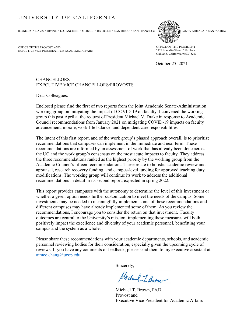#### UNIVERSITY OF CALIFORNIA

BERKELEY • DAVIS • IRVINE • LOS ANGELES • MERCED • RIVERSIDE • SAN DIEGO • SAN FRANCISCO (SVANTA BARBARA • SANTA BARBARA • SANTA CRUZ



OFFICE OF THE PROVOST AND EXECUTIVE VICE PRESIDENT FOR ACADEMIC AFFAIRS OFFICE OF THE PRESIDENT 1111 Franklin Street, 12th Floor Oakland, California 94607-5200

October 25, 2021

#### **CHANCELLORS** EXECUTIVE VICE CHANCELLORS/PROVOSTS

Dear Colleagues:

Enclosed please find the first of two reports from the joint Academic Senate-Administration working group on mitigating the impact of COVID-19 on faculty. I convened the working group this past April at the request of President Michael V. Drake in response to Academic Council recommendations from January 2021 on mitigating COVID-19 impacts on faculty advancement, morale, work-life balance, and dependent care responsibilities.

The intent of this first report, and of the work group's phased approach overall, is to prioritize recommendations that campuses can implement in the immediate and near term. These recommendations are informed by an assessment of work that has already been done across the UC and the work group's consensus on the most acute impacts to faculty. They address the three recommendations ranked as the highest priority by the working group from the Academic Council's fifteen recommendations. These relate to holistic academic review and appraisal, research recovery funding, and campus-level funding for approved teaching duty modifications. The working group will continue its work to address the additional recommendations in detail in its second report, expected in spring 2022.

This report provides campuses with the autonomy to determine the level of this investment or whether a given option needs further customization to meet the needs of the campus. Some investments may be needed to meaningfully implement some of these recommendations and different campuses may have already implemented some of them. As you review the recommendations, I encourage you to consider the return on that investment. Faculty outcomes are central to the University's mission; implementing these measures will both positively impact the excellence and diversity of your academic personnel, benefitting your campus and the system as a whole.

Please share these recommendations with your academic departments, schools, and academic personnel reviewing bodies for their consideration, especially given the upcoming cycle of reviews. If you have any comments or feedback, please send them to my executive assistant at [aimee.chang@ucop.edu.](mailto:aimee.chang@ucop.edu)

Sincerely,

Michael J. Brown

Michael T. Brown, Ph.D. Provost and Executive Vice President for Academic Affairs